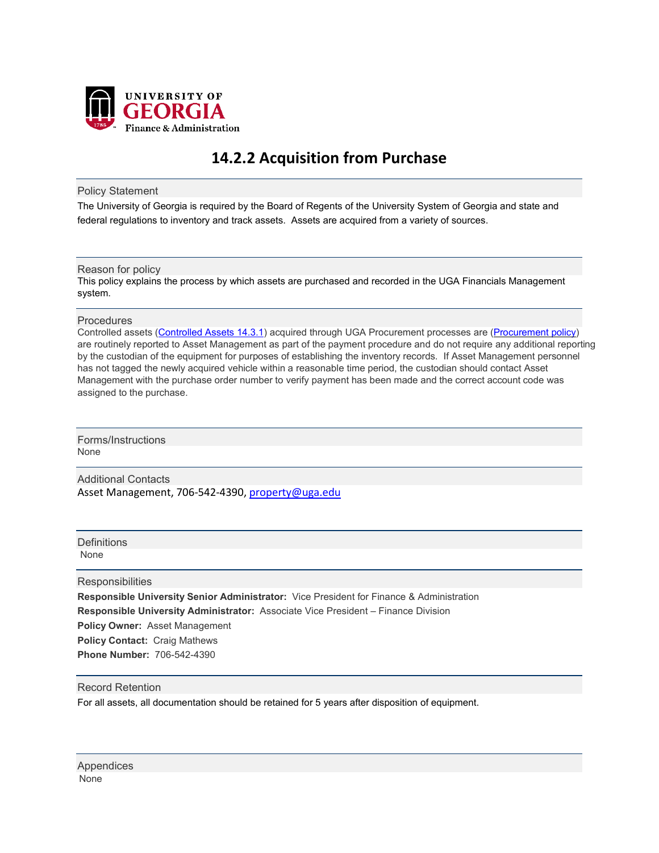

# **14.2.2 Acquisition from Purchase**

Policy Statement

The University of Georgia is required by the Board of Regents of the University System of Georgia and state and federal regulations to inventory and track assets. Assets are acquired from a variety of sources.

## Reason for policy

This policy explains the process by which assets are purchased and recorded in the UGA Financials Management system.

#### **Procedures**

Controlled assets [\(Controlled Assets 14.3.1\)](https://policies.uga.edu/Finance/Property-Control-Equipment-and-other-Asset-Inventory/Asset-Definition/Controlled-Assets/) acquired through UGA Procurement processes are [\(Procurement policy\)](https://policies.uga.edu/Purchasing-and-Payment-Processing/Purchase-and-Payment-Mechanisms/) are routinely reported to Asset Management as part of the payment procedure and do not require any additional reporting by the custodian of the equipment for purposes of establishing the inventory records. If Asset Management personnel has not tagged the newly acquired vehicle within a reasonable time period, the custodian should contact Asset Management with the purchase order number to verify payment has been made and the correct account code was assigned to the purchase.

Forms/Instructions None

Additional Contacts Asset Management, 706-542-4390[, property@uga.edu](mailto:property@uga.edu)

**Definitions** None

**Responsibilities** 

**Responsible University Senior Administrator:** Vice President for Finance & Administration **Responsible University Administrator:** Associate Vice President – Finance Division **Policy Owner:** Asset Management **Policy Contact:** Craig Mathews

**Phone Number:** 706-542-4390

## Record Retention

For all assets, all documentation should be retained for 5 years after disposition of equipment.

Appendices None